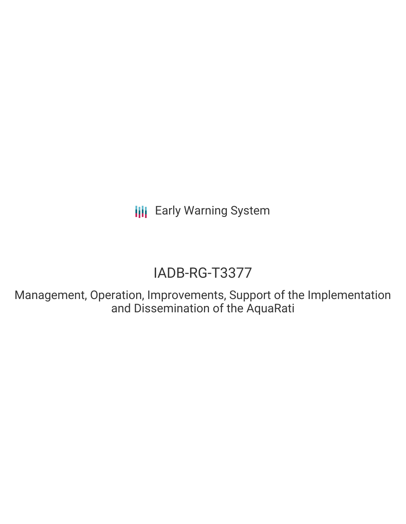**III** Early Warning System

# IADB-RG-T3377

Management, Operation, Improvements, Support of the Implementation and Dissemination of the AquaRati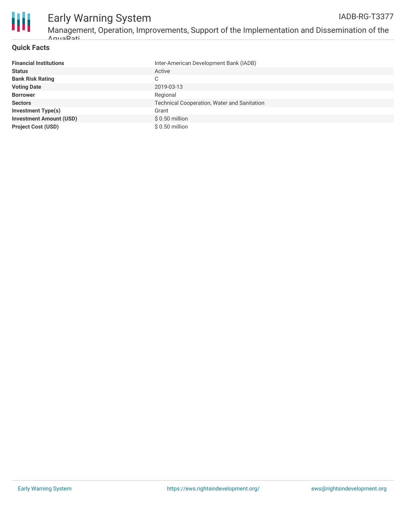

#### Early Warning System Management, Operation, Improvements, Support of the Implementation and Dissemination of the AquaRati IADB-RG-T3377

#### **Quick Facts**

| <b>Financial Institutions</b>  | Inter-American Development Bank (IADB)             |
|--------------------------------|----------------------------------------------------|
| <b>Status</b>                  | Active                                             |
| <b>Bank Risk Rating</b>        | C                                                  |
| <b>Voting Date</b>             | 2019-03-13                                         |
| <b>Borrower</b>                | Regional                                           |
| <b>Sectors</b>                 | <b>Technical Cooperation, Water and Sanitation</b> |
| <b>Investment Type(s)</b>      | Grant                                              |
| <b>Investment Amount (USD)</b> | $$0.50$ million                                    |
| <b>Project Cost (USD)</b>      | \$ 0.50 million                                    |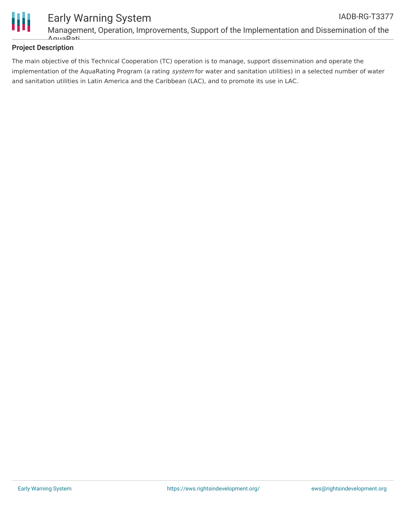

### **Project Description**

The main objective of this Technical Cooperation (TC) operation is to manage, support dissemination and operate the implementation of the AquaRating Program (a rating system for water and sanitation utilities) in a selected number of water and sanitation utilities in Latin America and the Caribbean (LAC), and to promote its use in LAC.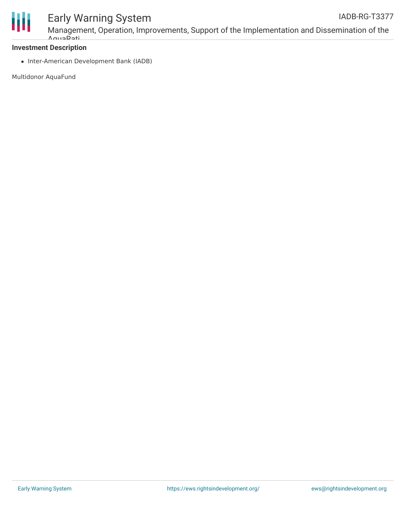

## Early Warning System

Management, Operation, Improvements, Support of the Implementation and Dissemination of the AquaRati

#### **Investment Description**

• Inter-American Development Bank (IADB)

Multidonor AquaFund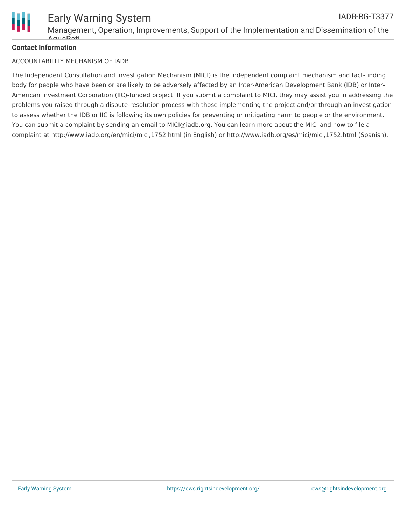

#### **Contact Information**

#### ACCOUNTABILITY MECHANISM OF IADB

The Independent Consultation and Investigation Mechanism (MICI) is the independent complaint mechanism and fact-finding body for people who have been or are likely to be adversely affected by an Inter-American Development Bank (IDB) or Inter-American Investment Corporation (IIC)-funded project. If you submit a complaint to MICI, they may assist you in addressing the problems you raised through a dispute-resolution process with those implementing the project and/or through an investigation to assess whether the IDB or IIC is following its own policies for preventing or mitigating harm to people or the environment. You can submit a complaint by sending an email to MICI@iadb.org. You can learn more about the MICI and how to file a complaint at http://www.iadb.org/en/mici/mici,1752.html (in English) or http://www.iadb.org/es/mici/mici,1752.html (Spanish).